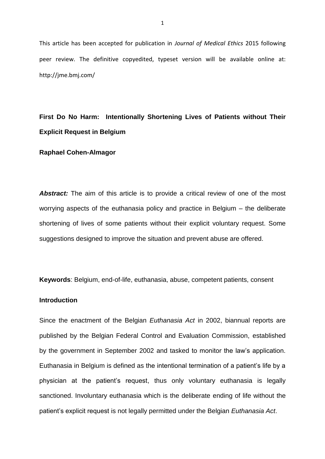This article has been accepted for publication in *Journal of Medical Ethics* 2015 following peer review. The definitive copyedited, typeset version will be available online at: http://jme.bmj.com/

# **First Do No Harm: Intentionally Shortening Lives of Patients without Their Explicit Request in Belgium**

**Raphael Cohen-Almagor**

**Abstract:** The aim of this article is to provide a critical review of one of the most worrying aspects of the euthanasia policy and practice in Belgium – the deliberate shortening of lives of some patients without their explicit voluntary request. Some suggestions designed to improve the situation and prevent abuse are offered.

**Keywords**: Belgium, end-of-life, euthanasia, abuse, competent patients, consent

## **Introduction**

Since the enactment of the Belgian *Euthanasia Act* in 2002, biannual reports are published by the Belgian Federal Control and Evaluation Commission, established by the government in September 2002 and tasked to monitor the law's application. Euthanasia in Belgium is defined as the intentional termination of a patient's life by a physician at the patient's request, thus only voluntary euthanasia is legally sanctioned. Involuntary euthanasia which is the deliberate ending of life without the patient's explicit request is not legally permitted under the Belgian *Euthanasia Act*.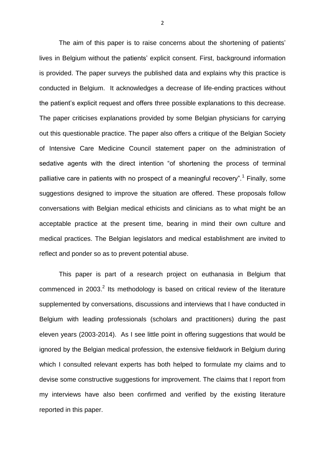The aim of this paper is to raise concerns about the shortening of patients' lives in Belgium without the patients' explicit consent. First, background information is provided. The paper surveys the published data and explains why this practice is conducted in Belgium. It acknowledges a decrease of life-ending practices without the patient's explicit request and offers three possible explanations to this decrease. The paper criticises explanations provided by some Belgian physicians for carrying out this questionable practice. The paper also offers a critique of the Belgian Society of Intensive Care Medicine Council statement paper on the administration of sedative agents with the direct intention "of shortening the process of terminal palliative care in patients with no prospect of a meaningful recovery".<sup>1</sup> Finally, some suggestions designed to improve the situation are offered. These proposals follow conversations with Belgian medical ethicists and clinicians as to what might be an acceptable practice at the present time, bearing in mind their own culture and medical practices. The Belgian legislators and medical establishment are invited to reflect and ponder so as to prevent potential abuse.

This paper is part of a research project on euthanasia in Belgium that commenced in 2003. $^2$  Its methodology is based on critical review of the literature supplemented by conversations, discussions and interviews that I have conducted in Belgium with leading professionals (scholars and practitioners) during the past eleven years (2003-2014). As I see little point in offering suggestions that would be ignored by the Belgian medical profession, the extensive fieldwork in Belgium during which I consulted relevant experts has both helped to formulate my claims and to devise some constructive suggestions for improvement. The claims that I report from my interviews have also been confirmed and verified by the existing literature reported in this paper.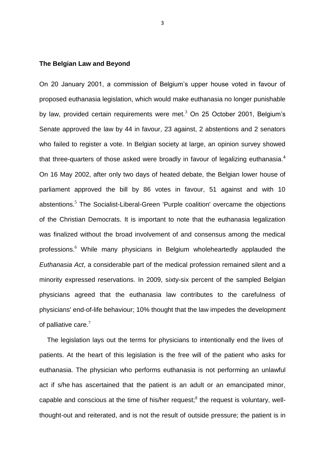#### **The Belgian Law and Beyond**

On 20 January 2001, a commission of Belgium's upper house voted in favour of proposed euthanasia legislation, which would make euthanasia no longer punishable by law, provided certain requirements were met. $3$  On 25 October 2001, Belgium's Senate approved the law by 44 in favour, 23 against, 2 abstentions and 2 senators who failed to register a vote. In Belgian society at large, an opinion survey showed that three-quarters of those asked were broadly in favour of legalizing euthanasia. $4$ On 16 May 2002, after only two days of heated debate, the Belgian lower house of parliament approved the bill by 86 votes in favour, 51 against and with 10 abstentions.<sup>5</sup> The Socialist-Liberal-Green 'Purple coalition' overcame the objections of the Christian Democrats. It is important to note that the euthanasia legalization was finalized without the broad involvement of and consensus among the medical professions.<sup>6</sup> While many physicians in Belgium wholeheartedly applauded the *Euthanasia Act*, a considerable part of the medical profession remained silent and a minority expressed reservations. In 2009, sixty-six percent of the sampled Belgian physicians agreed that the euthanasia law contributes to the carefulness of physicians' end-of-life behaviour; 10% thought that the law impedes the development of palliative care.<sup>7</sup>

The legislation lays out the terms for physicians to intentionally end the lives of patients. At the heart of this legislation is the free will of the patient who asks for euthanasia. The physician who performs euthanasia is not performing an unlawful act if s/he has ascertained that the patient is an adult or an emancipated minor, capable and conscious at the time of his/her request; $<sup>8</sup>$  the request is voluntary, well-</sup> thought-out and reiterated, and is not the result of outside pressure; the patient is in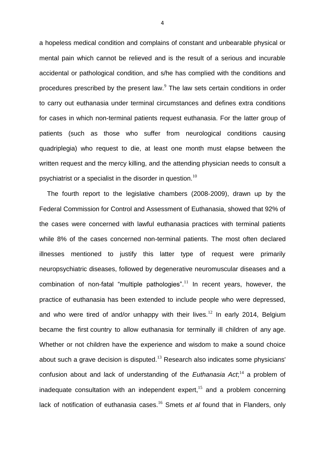a hopeless medical condition and complains of constant and unbearable physical or mental pain which cannot be relieved and is the result of a serious and incurable accidental or pathological condition, and s/he has complied with the conditions and procedures prescribed by the present law. $<sup>9</sup>$  The law sets certain conditions in order</sup> to carry out euthanasia under terminal circumstances and defines extra conditions for cases in which non-terminal patients request euthanasia. For the latter group of patients (such as those who suffer from neurological conditions causing quadriplegia) who request to die, at least one month must elapse between the written request and the mercy killing, and the attending physician needs to consult a psychiatrist or a specialist in the disorder in question.<sup>10</sup>

The fourth report to the legislative chambers (2008‐2009), drawn up by the Federal Commission for Control and Assessment of Euthanasia, showed that 92% of the cases were concerned with lawful euthanasia practices with terminal patients while 8% of the cases concerned non-terminal patients. The most often declared illnesses mentioned to justify this latter type of request were primarily neuropsychiatric diseases, followed by degenerative neuromuscular diseases and a combination of non-fatal "multiple pathologies".<sup>11</sup> In recent years, however, the practice of euthanasia has been extended to include people who were depressed, and who were tired of and/or unhappy with their lives.<sup>12</sup> In early 2014, Belgium became the first country to allow euthanasia for terminally ill children of any age. Whether or not children have the experience and wisdom to make a sound choice about such a grave decision is disputed. $13$  Research also indicates some physicians' confusion about and lack of understanding of the *Euthanasia Act*;<sup>14</sup> a problem of inadequate consultation with an independent expert, $15$  and a problem concerning lack of notification of euthanasia cases.<sup>16</sup> Smets *et al* found that in Flanders, only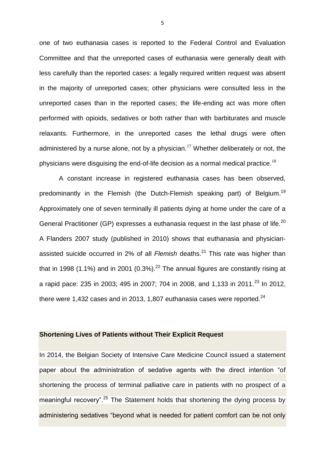one of two euthanasia cases is reported to the Federal Control and Evaluation Committee and that the unreported cases of euthanasia were generally dealt with less carefully than the reported cases: a legally required written request was absent in the majority of unreported cases; other physicians were consulted less in the unreported cases than in the reported cases; the life-ending act was more often performed with opioids, sedatives or both rather than with barbiturates and muscle relaxants. Furthermore, in the unreported cases the lethal drugs were often administered by a nurse alone, not by a physician.<sup>17</sup> Whether deliberately or not, the physicians were disguising the end-of-life decision as a normal medical practice.<sup>18</sup>

A constant increase in registered euthanasia cases has been observed, predominantly in the Flemish (the Dutch-Flemish speaking part) of Belgium.<sup>19</sup> Approximately one of seven terminally ill patients dying at home under the care of a General Practitioner (GP) expresses a euthanasia request in the last phase of life.<sup>20</sup> A Flanders 2007 study (published in 2010) shows that euthanasia and physicianassisted suicide occurred in 2% of all *Flemish* deaths.<sup>21</sup> This rate was higher than that in 1998 (1.1%) and in 2001 (0.3%).<sup>22</sup> The annual figures are constantly rising at a rapid pace: 235 in 2003; 495 in 2007; 704 in 2008, and 1,133 in 2011.<sup>23</sup> In 2012, there were 1,432 cases and in 2013, 1,807 euthanasia cases were reported. $^{24}$ 

## **Shortening Lives of Patients without Their Explicit Request**

In 2014, the Belgian Society of Intensive Care Medicine Council issued a statement paper about the administration of sedative agents with the direct intention "of shortening the process of terminal palliative care in patients with no prospect of a meaningful recovery".<sup>25</sup> The Statement holds that shortening the dying process by administering sedatives "beyond what is needed for patient comfort can be not only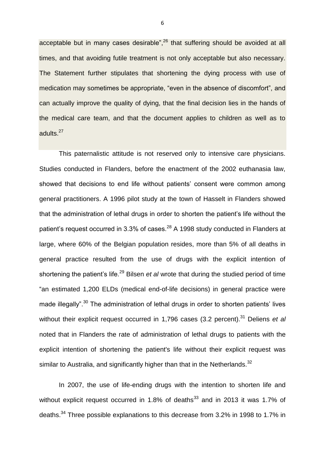acceptable but in many cases desirable",<sup>26</sup> that suffering should be avoided at all times, and that avoiding futile treatment is not only acceptable but also necessary. The Statement further stipulates that shortening the dying process with use of medication may sometimes be appropriate, "even in the absence of discomfort", and can actually improve the quality of dying, that the final decision lies in the hands of the medical care team, and that the document applies to children as well as to adults.<sup>27</sup>

This paternalistic attitude is not reserved only to intensive care physicians. Studies conducted in Flanders, before the enactment of the 2002 euthanasia law, showed that decisions to end life without patients' consent were common among general practitioners. A 1996 pilot study at the town of Hasselt in Flanders showed that the administration of lethal drugs in order to shorten the patient's life without the patient's request occurred in 3.3% of cases.<sup>28</sup> A 1998 study conducted in Flanders at large, where 60% of the Belgian population resides, more than 5% of all deaths in general practice resulted from the use of drugs with the explicit intention of shortening the patient's life.<sup>29</sup> Bilsen *et al* wrote that during the studied period of time "an estimated 1,200 ELDs (medical end-of-life decisions) in general practice were made illegally".<sup>30</sup> The administration of lethal drugs in order to shorten patients' lives without their explicit request occurred in 1,796 cases (3.2 percent).<sup>31</sup> Deliens *et al* noted that in Flanders the rate of administration of lethal drugs to patients with the explicit intention of shortening the patient's life without their explicit request was similar to Australia, and significantly higher than that in the Netherlands.<sup>32</sup>

In 2007, the use of life-ending drugs with the intention to shorten life and without explicit request occurred in 1.8% of deaths $33$  and in 2013 it was 1.7% of deaths.<sup>34</sup> Three possible explanations to this decrease from 3.2% in 1998 to 1.7% in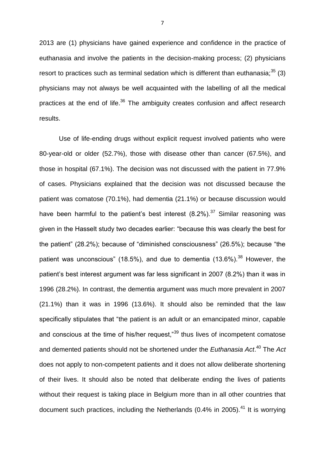2013 are (1) physicians have gained experience and confidence in the practice of euthanasia and involve the patients in the decision-making process; (2) physicians resort to practices such as terminal sedation which is different than euthanasia;  $35$  (3) physicians may not always be well acquainted with the labelling of all the medical practices at the end of life.<sup>36</sup> The ambiguity creates confusion and affect research results.

Use of life-ending drugs without explicit request involved patients who were 80-year-old or older (52.7%), those with disease other than cancer (67.5%), and those in hospital (67.1%). The decision was not discussed with the patient in 77.9% of cases. Physicians explained that the decision was not discussed because the patient was comatose (70.1%), had dementia (21.1%) or because discussion would have been harmful to the patient's best interest  $(8.2\%)$ .<sup>37</sup> Similar reasoning was given in the Hasselt study two decades earlier: "because this was clearly the best for the patient" (28.2%); because of "diminished consciousness" (26.5%); because "the patient was unconscious" (18.5%), and due to dementia (13.6%).<sup>38</sup> However, the patient's best interest argument was far less significant in 2007 (8.2%) than it was in 1996 (28.2%). In contrast, the dementia argument was much more prevalent in 2007 (21.1%) than it was in 1996 (13.6%). It should also be reminded that the law specifically stipulates that "the patient is an adult or an emancipated minor, capable and conscious at the time of his/her request,"<sup>39</sup> thus lives of incompetent comatose and demented patients should not be shortened under the *Euthanasia Act*. <sup>40</sup> The *Act*  does not apply to non-competent patients and it does not allow deliberate shortening of their lives. It should also be noted that deliberate ending the lives of patients without their request is taking place in Belgium more than in all other countries that document such practices, including the Netherlands (0.4% in 2005).<sup>41</sup> It is worrying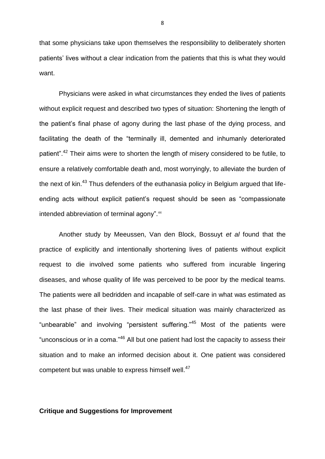that some physicians take upon themselves the responsibility to deliberately shorten patients' lives without a clear indication from the patients that this is what they would want.

Physicians were asked in what circumstances they ended the lives of patients without explicit request and described two types of situation: Shortening the length of the patient's final phase of agony during the last phase of the dying process, and facilitating the death of the "terminally ill, demented and inhumanly deteriorated patient".<sup>42</sup> Their aims were to shorten the length of misery considered to be futile, to ensure a relatively comfortable death and, most worryingly, to alleviate the burden of the next of kin.<sup>43</sup> Thus defenders of the euthanasia policy in Belgium argued that lifeending acts without explicit patient's request should be seen as "compassionate intended abbreviation of terminal agony".<sup>44</sup>

Another study by Meeussen, Van den Block, Bossuyt *et al* found that the practice of explicitly and intentionally shortening lives of patients without explicit request to die involved some patients who suffered from incurable lingering diseases, and whose quality of life was perceived to be poor by the medical teams. The patients were all bedridden and incapable of self-care in what was estimated as the last phase of their lives. Their medical situation was mainly characterized as "unbearable" and involving "persistent suffering."<sup>45</sup> Most of the patients were "unconscious or in a coma."<sup>46</sup> All but one patient had lost the capacity to assess their situation and to make an informed decision about it. One patient was considered competent but was unable to express himself well.<sup>47</sup>

## **Critique and Suggestions for Improvement**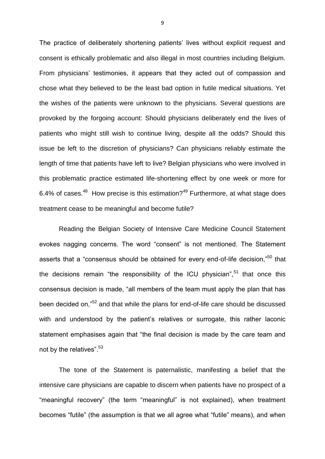The practice of deliberately shortening patients' lives without explicit request and consent is ethically problematic and also illegal in most countries including Belgium. From physicians' testimonies, it appears that they acted out of compassion and chose what they believed to be the least bad option in futile medical situations. Yet the wishes of the patients were unknown to the physicians. Several questions are provoked by the forgoing account: Should physicians deliberately end the lives of patients who might still wish to continue living, despite all the odds? Should this issue be left to the discretion of physicians? Can physicians reliably estimate the length of time that patients have left to live? Belgian physicians who were involved in this problematic practice estimated life-shortening effect by one week or more for 6.4% of cases.<sup>48</sup> How precise is this estimation?<sup>49</sup> Furthermore, at what stage does treatment cease to be meaningful and become futile?

Reading the Belgian Society of Intensive Care Medicine Council Statement evokes nagging concerns. The word "consent" is not mentioned. The Statement asserts that a "consensus should be obtained for every end-of-life decision,"<sup>50</sup> that the decisions remain "the responsibility of the ICU physician", $51$  that once this consensus decision is made, "all members of the team must apply the plan that has been decided on,"<sup>52</sup> and that while the plans for end-of-life care should be discussed with and understood by the patient's relatives or surrogate, this rather laconic statement emphasises again that "the final decision is made by the care team and not by the relatives".<sup>53</sup>

The tone of the Statement is paternalistic, manifesting a belief that the intensive care physicians are capable to discern when patients have no prospect of a "meaningful recovery" (the term "meaningful" is not explained), when treatment becomes "futile" (the assumption is that we all agree what "futile" means), and when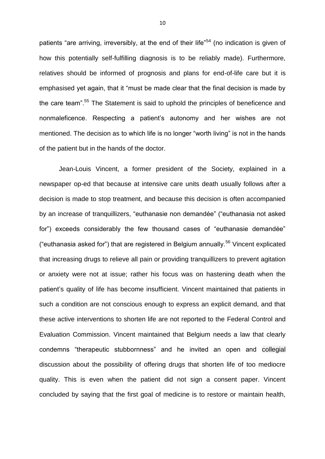patients "are arriving, irreversibly, at the end of their life"<sup>54</sup> (no indication is given of how this potentially self-fulfilling diagnosis is to be reliably made). Furthermore, relatives should be informed of prognosis and plans for end-of-life care but it is emphasised yet again, that it "must be made clear that the final decision is made by the care team".<sup>55</sup> The Statement is said to uphold the principles of beneficence and nonmaleficence. Respecting a patient's autonomy and her wishes are not mentioned. The decision as to which life is no longer "worth living" is not in the hands of the patient but in the hands of the doctor.

Jean-Louis Vincent, a former president of the Society, explained in a newspaper op-ed that because at intensive care units death usually follows after a decision is made to stop treatment, and because this decision is often accompanied by an increase of tranquillizers, "euthanasie non demandée" ("euthanasia not asked for") exceeds considerably the few thousand cases of "euthanasie demandée" ("euthanasia asked for") that are registered in Belgium annually.<sup>56</sup> Vincent explicated that increasing drugs to relieve all pain or providing tranquillizers to prevent agitation or anxiety were not at issue; rather his focus was on hastening death when the patient's quality of life has become insufficient. Vincent maintained that patients in such a condition are not conscious enough to express an explicit demand, and that these active interventions to shorten life are not reported to the Federal Control and Evaluation Commission. Vincent maintained that Belgium needs a law that clearly condemns "therapeutic stubbornness" and he invited an open and collegial discussion about the possibility of offering drugs that shorten life of too mediocre quality. This is even when the patient did not sign a consent paper. Vincent concluded by saying that the first goal of medicine is to restore or maintain health,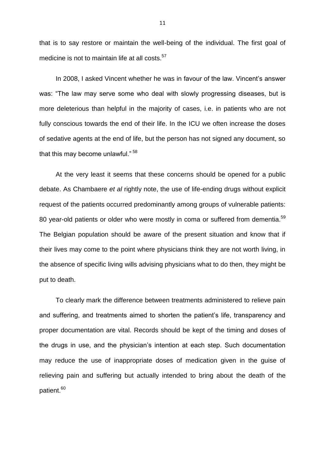that is to say restore or maintain the well-being of the individual. The first goal of medicine is not to maintain life at all costs.<sup>57</sup>

In 2008, I asked Vincent whether he was in favour of the law. Vincent's answer was: "The law may serve some who deal with slowly progressing diseases, but is more deleterious than helpful in the majority of cases, i.e. in patients who are not fully conscious towards the end of their life. In the ICU we often increase the doses of sedative agents at the end of life, but the person has not signed any document, so that this may become unlawful." <sup>58</sup>

At the very least it seems that these concerns should be opened for a public debate. As Chambaere *et al* rightly note, the use of life-ending drugs without explicit request of the patients occurred predominantly among groups of vulnerable patients: 80 year-old patients or older who were mostly in coma or suffered from dementia.<sup>59</sup> The Belgian population should be aware of the present situation and know that if their lives may come to the point where physicians think they are not worth living, in the absence of specific living wills advising physicians what to do then, they might be put to death.

To clearly mark the difference between treatments administered to relieve pain and suffering, and treatments aimed to shorten the patient's life, transparency and proper documentation are vital. Records should be kept of the timing and doses of the drugs in use, and the physician's intention at each step. Such documentation may reduce the use of inappropriate doses of medication given in the guise of relieving pain and suffering but actually intended to bring about the death of the patient.<sup>60</sup>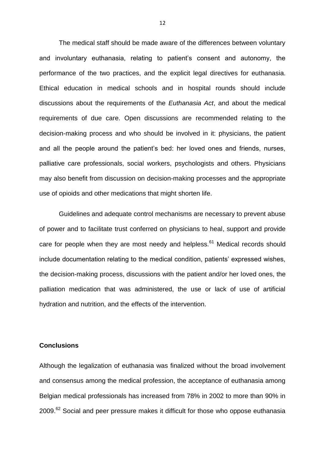The medical staff should be made aware of the differences between voluntary and involuntary euthanasia, relating to patient's consent and autonomy, the performance of the two practices, and the explicit legal directives for euthanasia. Ethical education in medical schools and in hospital rounds should include discussions about the requirements of the *Euthanasia Act*, and about the medical requirements of due care. Open discussions are recommended relating to the decision-making process and who should be involved in it: physicians, the patient and all the people around the patient's bed: her loved ones and friends, nurses, palliative care professionals, social workers, psychologists and others. Physicians may also benefit from discussion on decision-making processes and the appropriate use of opioids and other medications that might shorten life.

Guidelines and adequate control mechanisms are necessary to prevent abuse of power and to facilitate trust conferred on physicians to heal, support and provide care for people when they are most needy and helpless.<sup>61</sup> Medical records should include documentation relating to the medical condition, patients' expressed wishes, the decision-making process, discussions with the patient and/or her loved ones, the palliation medication that was administered, the use or lack of use of artificial hydration and nutrition, and the effects of the intervention.

### **Conclusions**

Although the legalization of euthanasia was finalized without the broad involvement and consensus among the medical profession, the acceptance of euthanasia among Belgian medical professionals has increased from 78% in 2002 to more than 90% in 2009.<sup>62</sup> Social and peer pressure makes it difficult for those who oppose euthanasia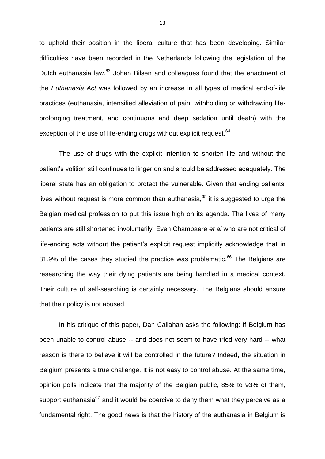to uphold their position in the liberal culture that has been developing. Similar difficulties have been recorded in the Netherlands following the legislation of the Dutch euthanasia law.<sup>63</sup> Johan Bilsen and colleagues found that the enactment of the *Euthanasia Act* was followed by an increase in all types of medical end-of-life practices (euthanasia, intensified alleviation of pain, withholding or withdrawing lifeprolonging treatment, and continuous and deep sedation until death) with the exception of the use of life-ending drugs without explicit request.<sup>64</sup>

The use of drugs with the explicit intention to shorten life and without the patient's volition still continues to linger on and should be addressed adequately. The liberal state has an obligation to protect the vulnerable. Given that ending patients' lives without request is more common than euthanasia, $65$  it is suggested to urge the Belgian medical profession to put this issue high on its agenda. The lives of many patients are still shortened involuntarily. Even Chambaere *et al* who are not critical of life-ending acts without the patient's explicit request implicitly acknowledge that in 31.9% of the cases they studied the practice was problematic.<sup>66</sup> The Belgians are researching the way their dying patients are being handled in a medical context. Their culture of self-searching is certainly necessary. The Belgians should ensure that their policy is not abused.

In his critique of this paper, Dan Callahan asks the following: If Belgium has been unable to control abuse -- and does not seem to have tried very hard -- what reason is there to believe it will be controlled in the future? Indeed, the situation in Belgium presents a true challenge. It is not easy to control abuse. At the same time, opinion polls indicate that the majority of the Belgian public, 85% to 93% of them, support euthanasia<sup>67</sup> and it would be coercive to deny them what they perceive as a fundamental right. The good news is that the history of the euthanasia in Belgium is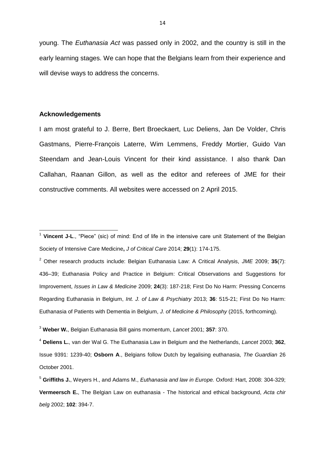young. The *Euthanasia Act* was passed only in 2002, and the country is still in the early learning stages. We can hope that the Belgians learn from their experience and will devise ways to address the concerns.

## **Acknowledgements**

 $\overline{\phantom{a}}$ 

I am most grateful to J. Berre, Bert Broeckaert, Luc Deliens, Jan De Volder, Chris Gastmans, Pierre-François Laterre, Wim Lemmens, Freddy Mortier, Guido Van Steendam and Jean-Louis Vincent for their kind assistance. I also thank Dan Callahan, Raanan Gillon, as well as the editor and referees of JME for their constructive comments. All websites were accessed on 2 April 2015.

<sup>2</sup> Other research products include: Belgian Euthanasia Law: A Critical Analysis, *JME* 2009; **35**(7): 436–39; Euthanasia Policy and Practice in Belgium: Critical Observations and Suggestions for Improvement, *Issues in Law & Medicine* 2009; **24**(3): 187-218; First Do No Harm: Pressing Concerns Regarding Euthanasia in Belgium, *Int. J. of Law & Psychiatry* 2013; **36**: 515-21; First Do No Harm: Euthanasia of Patients with Dementia in Belgium, *J. of Medicine & Philosophy* (2015, forthcoming).

<sup>4</sup> **Deliens L.**, van der Wal G. The Euthanasia Law in Belgium and the Netherlands, *Lancet* 2003; **362**, Issue 9391: 1239-40; **Osborn A**., Belgians follow Dutch by legalising euthanasia, *The Guardian* 26 October 2001.

<sup>&</sup>lt;sup>1</sup> Vincent J-L., "Piece" (sic) of mind: End of life in the intensive care unit Statement of the Belgian Society of Intensive Care Medicine**,** *J of [Critical](http://www.sciencedirect.com/science/journal/08839441) Care* 2014; **29**(1): 174-175.

<sup>3</sup> **Weber W.**, Belgian Euthanasia Bill gains momentum, *Lancet* 2001; **357**: 370.

<sup>5</sup> **Griffiths J.**, Weyers H., and Adams M., *Euthanasia and law in Europe.* Oxford: Hart, 2008: 304-329; **Vermeersch E.**, The Belgian Law on euthanasia - The historical and ethical background, *Acta chir belg* 2002; **102**: 394-7.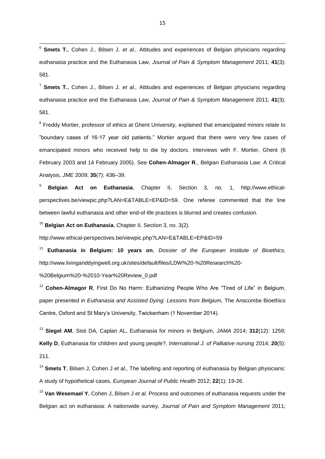6 **Smets T.**, Cohen J., Bilsen J. *et al.,* Attitudes and experiences of Belgian physicians regarding euthanasia practice and the Euthanasia Law, *Journal of Pain & Symptom Management* 2011; **41**(3): 581.

7 **Smets T.**, Cohen J., Bilsen J. *et al.,* Attitudes and experiences of Belgian physicians regarding euthanasia practice and the Euthanasia Law, *Journal of Pain & Symptom Management* 2011; **41**(3): 581.

<sup>8</sup> Freddy Mortier, professor of ethics at Ghent University, explained that emancipated minors relate to "boundary cases of 16-17 year old patients." Mortier argued that there were very few cases of emancipated minors who received help to die by doctors. Interviews with F. Mortier, Ghent (6 February 2003 and 14 February 2005). See **Cohen-Almagor R**., Belgian Euthanasia Law: A Critical Analysis, *JME* 2009; **35**(7): 436–39.

<sup>9</sup> **Belgian Act on Euthanasia**, Chapter II, Section 3, no. 1, [http://www.ethical](http://www.ethical-perspectives.be/viewpic.php?LAN=E&TABLE=EP&ID=59)[perspectives.be/viewpic.php?LAN=E&TABLE=EP&ID=59.](http://www.ethical-perspectives.be/viewpic.php?LAN=E&TABLE=EP&ID=59) One referee commented that the line between lawful euthanasia and other end-of-life practices is blurred and creates confusion.

<sup>10</sup> **Belgian Act on Euthanasia**, Chapter II, Section 3, no. 3(2).

<http://www.ethical-perspectives.be/viewpic.php?LAN=E&TABLE=EP&ID=59>

<sup>11</sup> **Euthanasia in Belgium: 10 years on**, *Dossier of the European Institute of Bioethics,*  http://www.livinganddyingwell.org.uk/sites/default/files/LDW%20-%20Research%20-

%20Belgium%20-%2010-Year%20Review\_0.pdf

<sup>12</sup> **Cohen-Almagor R**, First Do No Harm: Euthanizing People Who Are "Tired of Life" in Belgium, paper presented in *Euthanasia and Assisted Dying: Lessons from Belgium*, The Anscombe Bioethics Centre, Oxford and St Mary's University, Twickenham (1 November 2014).

<sup>13</sup> **Siegel AM**, Sisti DA, Caplan AL, Euthanasia for minors in Belgium, *JAMA* 2014; **312**(12): 1259; **Kelly D**, Euthanasia for children and young people?, *International J. of Palliative nursing* 2014; **20**(5): 211.

<sup>14</sup> **Smets T**, Bilsen J, Cohen J *et al.,* The labelling and reporting of euthanasia by Belgian physicians: A study of hypothetical cases, *European Journal of Public Health* 2012; **22**(1): 19-26.

<sup>15</sup> **Van Wesemael Y**, Cohen J, Bilsen J *et al.* Process and outcomes of euthanasia requests under the Belgian act on euthanasia: A nationwide survey, *Journal of Pain and Symptom Management* 2011;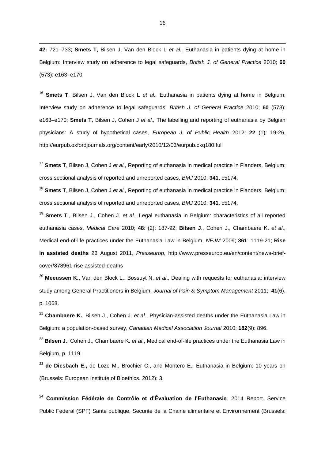**42:** 721–733; **Smets T**, Bilsen J, Van den Block L *et al.,* Euthanasia in patients dying at home in Belgium: Interview study on adherence to legal safeguards, *British J. of General Practice* 2010; **60** (573): e163–e170.

1

<sup>16</sup> **Smets T**, Bilsen J, Van den Block L *et al.,* Euthanasia in patients dying at home in Belgium: Interview study on adherence to legal safeguards, *British J. of General Practice* 2010; **60** (573): e163–e170; **Smets T**, Bilsen J, Cohen J *et al.,* The labelling and reporting of euthanasia by Belgian physicians: A study of hypothetical cases, *European J. of Public Health* 2012; **22** (1): 19-26, [http://eurpub.oxfordjournals.org/content/early/2010/12/03/eurpub.ckq180.full](http://www.sciencedirect.com/science?_ob=RedirectURL&_method=externObjLink&_locator=url&_issn=01602527&_origin=article&_zone=art_page&_plusSign=%2B&_targetURL=http%253A%252F%252Feurpub.oxfordjournals.org%252Fcontent%252Fearly%252F2010%252F12%252F03%252Feurpub.ckq180.full)

<sup>17</sup> **Smets T**, Bilsen J, Cohen J *et al.,* Reporting of euthanasia in medical practice in Flanders, Belgium: cross sectional analysis of reported and unreported cases, *BMJ* 2010; **341**, c5174.

<sup>18</sup> **Smets T**, Bilsen J, Cohen J *et al.,* Reporting of euthanasia in medical practice in Flanders, Belgium: cross sectional analysis of reported and unreported cases, *BMJ* 2010; **341**, c5174.

<sup>19</sup> **Smets T**., Bilsen J., Cohen J. *et al*., Legal euthanasia in Belgium: characteristics of all reported euthanasia cases, *Medical Care* 2010; **48**: (2): 187-92; **Bilsen J**., Cohen J., Chambaere K. *et al*., Medical end-of-life practices under the Euthanasia Law in Belgium, *NEJM* 2009; **361**: 1119-21; **Rise in assisted deaths** 23 August 2011, *Presseurop*, http://www.presseurop.eu/en/content/news-briefcover/878961-rise-assisted-deaths

<sup>20</sup> **Meeussen K.**, Van den Block L., Bossuyt N. *et al*., Dealing with requests for euthanasia: interview study among General Practitioners in Belgium, *Journal of Pain & Symptom Management* 2011; **41**(6), p. 1068.

<sup>21</sup> **Chambaere K.**, Bilsen J., Cohen J. *et al*., Physician-assisted deaths under the Euthanasia Law in Belgium: a population-based survey, *Canadian Medical Association Journal* 2010; **182**(9): 896.

<sup>22</sup> **Bilsen J**., Cohen J., Chambaere K. *et al*., Medical end-of-life practices under the Euthanasia Law in Belgium, p. 1119.

<sup>23</sup> **de Diesbach E.,** de Loze M., Brochier C., and Montero E., Euthanasia in Belgium: 10 years on (Brussels: European Institute of Bioethics, 2012): 3.

<sup>24</sup> **Commission Fédérale de Contrôle et d'Évaluation de l'Euthanasie**. 2014 Report. Service Public Federal (SPF) Sante publique, Securite de la Chaine alimentaire et Environnement (Brussels: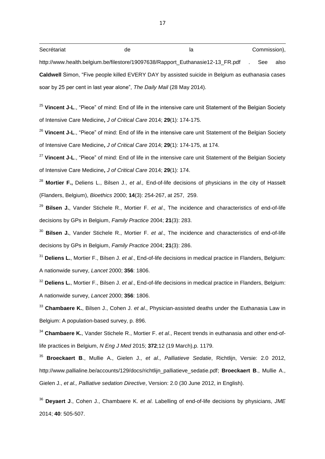| Secrétariat | de                                                                             | la | Commission),                                                                                            |
|-------------|--------------------------------------------------------------------------------|----|---------------------------------------------------------------------------------------------------------|
|             | http://www.health.belgium.be/filestore/19097638/Rapport_Euthanasie12-13_FR.pdf |    | also<br>See                                                                                             |
|             |                                                                                |    | <b>Caldwell</b> Simon, "Five people killed EVERY DAY by assisted suicide in Belgium as euthanasia cases |
|             | soar by 25 per cent in last year alone", The Daily Mail (28 May 2014).         |    |                                                                                                         |

<sup>25</sup> Vincent J-L., "Piece" of mind: End of life in the intensive care unit Statement of the Belgian Society of Intensive Care Medicine**,** *J of [Critical](http://www.sciencedirect.com/science/journal/08839441) Care* 2014; **29**(1): 174-175.

<sup>26</sup> Vincent J-L., "Piece" of mind: End of life in the intensive care unit Statement of the Belgian Society of Intensive Care Medicine**,** *J of [Critical](http://www.sciencedirect.com/science/journal/08839441) Care* 2014; **29**(1): 174-175, at 174.

<sup>27</sup> **Vincent J-L**., "Piece" of mind: End of life in the intensive care unit Statement of the Belgian Society of Intensive Care Medicine**,** *J of [Critical](http://www.sciencedirect.com/science/journal/08839441) Care* 2014; **29**(1): 174.

<sup>28</sup> **Mortier F.,** Deliens L., Bilsen J., *et al.,* End-of-life decisions of physicians in the city of Hasselt (Flanders, Belgium), *Bioethics* 2000; **14**(3): 254-267, at 257, 259.

<sup>29</sup> **Bilsen J.**, Vander Stichele R., Mortier F. *et al*., The incidence and characteristics of end-of-life decisions by GPs in Belgium, *Family Practice* 2004; **21**(3): 283.

<sup>30</sup> **Bilsen J.**, Vander Stichele R., Mortier F. *et al*., The incidence and characteristics of end-of-life decisions by GPs in Belgium, *Family Practice* 2004; **21**(3): 286.

<sup>31</sup> **Deliens L.**, Mortier F., Bilsen J. *et al*., End-of-life decisions in medical practice in Flanders, Belgium: A nationwide survey, *Lancet* 2000; **356**: 1806.

<sup>32</sup> **Deliens L.**, Mortier F., Bilsen J. *et al*., End-of-life decisions in medical practice in Flanders, Belgium: A nationwide survey, *Lancet* 2000; **356**: 1806.

<sup>33</sup> **Chambaere K.**, Bilsen J., Cohen J. *et al*., Physician-assisted deaths under the Euthanasia Law in Belgium: A population-based survey, p. 896.

<sup>34</sup> **Chambaere K.**, Vander Stichele R., Mortier F. *et al*., Recent trends in euthanasia and other end-oflife practices in Belgium, *N Eng J Med* 2015; **372**;12 (19 March),p. 1179.

<sup>35</sup> **Broeckaert B**., Mullie A., Gielen J., *et al*., *Palliatieve Sedatie*, Richtlijn, Versie: 2.0 2012, [http://www.pallialine.be/accounts/129/docs/richtlijn\\_palliatieve\\_sedatie.pdf;](http://www.pallialine.be/accounts/129/docs/richtlijn_palliatieve_sedatie.pdf) **Broeckaert B**., Mullie A., Gielen J., *et al., Palliative sedation Directive*, Version: 2.0 (30 June 2012, in English).

<sup>36</sup> **Deyaert J**., Cohen J., Chambaere K. *et al*. Labelling of end-of-life decisions by physicians, *JME*  2014; **40**: 505-507.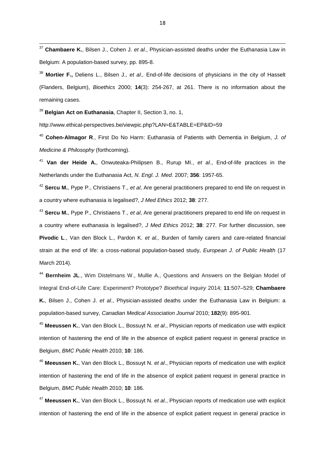<sup>37</sup> **Chambaere K.**, Bilsen J., Cohen J. *et al*., Physician-assisted deaths under the Euthanasia Law in Belgium: A population-based survey, pp. 895-8.

<sup>38</sup> **Mortier F.,** Deliens L., Bilsen J., *et al.,* End-of-life decisions of physicians in the city of Hasselt (Flanders, Belgium), *Bioethics* 2000; **14**(3): 254-267, at 261. There is no information about the remaining cases.

<sup>39</sup> **Belgian Act on Euthanasia**, Chapter II, Section 3, no. 1,

 $\overline{\phantom{a}}$ 

http://www.ethical-perspectives.be/viewpic.php?LAN=E&TABLE=EP&ID=59

<sup>40</sup> **Cohen-Almagor R**., First Do No Harm: Euthanasia of Patients with Dementia in Belgium, *J. of Medicine & Philosophy* (forthcoming).

<sup>41</sup> **Van der Heide A.**, Onwuteaka-Philipsen B., Rurup MI., *et al*., End-of-life practices in the Netherlands under the Euthanasia Act, *N. Engl. J. Med*. 2007; **356**: 1957-65.

<sup>42</sup> **Sercu M.**, Pype P., Christiaens T., *et al*, Are general practitioners prepared to end life on request in a country where euthanasia is legalised?, *J Med Ethics* 2012; **38**: 277.

<sup>43</sup> **Sercu M.**, Pype P., Christiaens T., *et al*, Are general practitioners prepared to end life on request in a country where euthanasia is legalised?, *J Med Ethics* 2012; **38**: 277*.* For further discussion, see **Pivodic L**., Van den Block L., Pardon K. *et al.,* Burden of family carers and care-related financial strain at the end of life: a cross-national population-based study, *European J. of Public Health* (17 March 2014).

<sup>44</sup> **Bernheim JL**., Wim Distelmans W., Mullie A., Questions and Answers on the Belgian Model of Integral End-of-Life Care: Experiment? Prototype? *Bioethical Inquiry* 2014; **11**:507–529; **Chambaere K.**, Bilsen J., Cohen J. *et al*., Physician-assisted deaths under the Euthanasia Law in Belgium: a population-based survey, *Canadian Medical Association Journal* 2010; **182**(9): 895-901.

<sup>45</sup> **Meeussen K.**, Van den Block L., Bossuyt N. *et al*., Physician reports of medication use with explicit intention of hastening the end of life in the absence of explicit patient request in general practice in Belgium, *BMC Public Health* 2010; **10**: 186.

<sup>46</sup> **Meeussen K.**, Van den Block L., Bossuyt N. *et al*., Physician reports of medication use with explicit intention of hastening the end of life in the absence of explicit patient request in general practice in Belgium, *BMC Public Health* 2010; **10**: 186*.*

<sup>47</sup> **Meeussen K.**, Van den Block L., Bossuyt N. *et al*., Physician reports of medication use with explicit intention of hastening the end of life in the absence of explicit patient request in general practice in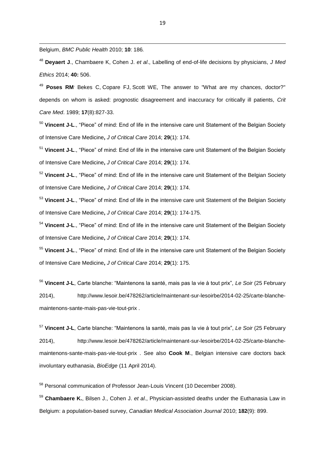Belgium, *BMC Public Health* 2010; **10**: 186*.*

1

<sup>48</sup> **Deyaert J**., Chambaere K, Cohen J. *et al*., Labelling of end-of-life decisions by physicians, *J Med Ethics* 2014; **40:** 506.

<sup>49</sup> **[Poses RM](https://mail.hull.ac.uk/owa/redir.aspx?SURL=BnRE9HTm7hRVtQzbWvw2nXdCEHNuL3dPASDNgGGriJ_p084hWhTSCGgAdAB0AHAAOgAvAC8AdwB3AHcALgBuAGMAYgBpAC4AbgBsAG0ALgBuAGkAaAAuAGcAbwB2AC8AcAB1AGIAbQBlAGQALwA_AHQAZQByAG0APQBQAG8AcwBlAHMAJQAyADAAUgBNACUANQBCAEEAdQB0AGgAbwByACUANQBEACYAYwBhAHUAdABoAG8AcgA9AHQAcgB1AGUAJgBjAGEAdQB0AGgAbwByAF8AdQBpAGQAPQAyADcANQAyADcANwA5AA..&URL=http%3a%2f%2fwww.ncbi.nlm.nih.gov%2fpubmed%2f%3fterm%3dPoses%2520RM%255BAuthor%255D%26cauthor%3dtrue%26cauthor_uid%3d2752779)**, [Bekes C,](https://mail.hull.ac.uk/owa/redir.aspx?SURL=B2t7dlqQ1Kpyvmi7r0WRftnpmyrutTBzXUZirK0CjKXp084hWhTSCGgAdAB0AHAAOgAvAC8AdwB3AHcALgBuAGMAYgBpAC4AbgBsAG0ALgBuAGkAaAAuAGcAbwB2AC8AcAB1AGIAbQBlAGQALwA_AHQAZQByAG0APQBCAGUAawBlAHMAJQAyADAAQwAlADUAQgBBAHUAdABoAG8AcgAlADUARAAmAGMAYQB1AHQAaABvAHIAPQB0AHIAdQBlACYAYwBhAHUAdABoAG8AcgBfAHUAaQBkAD0AMgA3ADUAMgA3ADcAOQA.&URL=http%3a%2f%2fwww.ncbi.nlm.nih.gov%2fpubmed%2f%3fterm%3dBekes%2520C%255BAuthor%255D%26cauthor%3dtrue%26cauthor_uid%3d2752779) [Copare FJ,](https://mail.hull.ac.uk/owa/redir.aspx?SURL=NQzm__u-Z6lJ0K21hwulKzDFzo7Q9uO7cw2U7pr0oivp084hWhTSCGgAdAB0AHAAOgAvAC8AdwB3AHcALgBuAGMAYgBpAC4AbgBsAG0ALgBuAGkAaAAuAGcAbwB2AC8AcAB1AGIAbQBlAGQALwA_AHQAZQByAG0APQBDAG8AcABhAHIAZQAlADIAMABGAEoAJQA1AEIAQQB1AHQAaABvAHIAJQA1AEQAJgBjAGEAdQB0AGgAbwByAD0AdAByAHUAZQAmAGMAYQB1AHQAaABvAHIAXwB1AGkAZAA9ADIANwA1ADIANwA3ADkA&URL=http%3a%2f%2fwww.ncbi.nlm.nih.gov%2fpubmed%2f%3fterm%3dCopare%2520FJ%255BAuthor%255D%26cauthor%3dtrue%26cauthor_uid%3d2752779) [Scott WE,](https://mail.hull.ac.uk/owa/redir.aspx?SURL=0xi4rJx_h5aNHoCPVWC_vwsAUFbldnoisAx8Go9byknp084hWhTSCGgAdAB0AHAAOgAvAC8AdwB3AHcALgBuAGMAYgBpAC4AbgBsAG0ALgBuAGkAaAAuAGcAbwB2AC8AcAB1AGIAbQBlAGQALwA_AHQAZQByAG0APQBTAGMAbwB0AHQAJQAyADAAVwBFACUANQBCAEEAdQB0AGgAbwByACUANQBEACYAYwBhAHUAdABoAG8AcgA9AHQAcgB1AGUAJgBjAGEAdQB0AGgAbwByAF8AdQBpAGQAPQAyADcANQAyADcANwA5AA..&URL=http%3a%2f%2fwww.ncbi.nlm.nih.gov%2fpubmed%2f%3fterm%3dScott%2520WE%255BAuthor%255D%26cauthor%3dtrue%26cauthor_uid%3d2752779) The answer to "What are my chances, doctor?" depends on whom is asked: prognostic disagreement and inaccuracy for critically ill patients, *[Crit](https://mail.hull.ac.uk/owa/redir.aspx?SURL=VomMM4rWTRFyQB4JlYS_beZqYaKxAi1-Kzv-jsBlNm_p084hWhTSCGgAdAB0AHAAOgAvAC8AdwB3AHcALgBuAGMAYgBpAC4AbgBsAG0ALgBuAGkAaAAuAGcAbwB2AC8AcAB1AGIAbQBlAGQALwA_AHQAZQByAG0APQBQAE8AUwBFAFMAKwBSAC4AKwBDAFIASQBUACsAQwBBAFIARQArAE0ARQBEACsAMQA5ADgAOQAlADMAQgAxADcAJQAzAEEAOAAyADcALQA4ADMAMwA.&URL=http%3a%2f%2fwww.ncbi.nlm.nih.gov%2fpubmed%2f%3fterm%3dPOSES%2bR.%2bCRIT%2bCARE%2bMED%2b1989%253B17%253A827-833)  [Care Med](https://mail.hull.ac.uk/owa/redir.aspx?SURL=VomMM4rWTRFyQB4JlYS_beZqYaKxAi1-Kzv-jsBlNm_p084hWhTSCGgAdAB0AHAAOgAvAC8AdwB3AHcALgBuAGMAYgBpAC4AbgBsAG0ALgBuAGkAaAAuAGcAbwB2AC8AcAB1AGIAbQBlAGQALwA_AHQAZQByAG0APQBQAE8AUwBFAFMAKwBSAC4AKwBDAFIASQBUACsAQwBBAFIARQArAE0ARQBEACsAMQA5ADgAOQAlADMAQgAxADcAJQAzAEEAOAAyADcALQA4ADMAMwA.&URL=http%3a%2f%2fwww.ncbi.nlm.nih.gov%2fpubmed%2f%3fterm%3dPOSES%2bR.%2bCRIT%2bCARE%2bMED%2b1989%253B17%253A827-833)*. 1989; **17**(8):827-33.

<sup>50</sup> Vincent J-L., "Piece" of mind: End of life in the intensive care unit Statement of the Belgian Society of Intensive Care Medicine**,** *J of [Critical](http://www.sciencedirect.com/science/journal/08839441) Care* 2014; **29**(1): 174.

<sup>51</sup> **Vincent J-L**., "Piece" of mind: End of life in the intensive care unit Statement of the Belgian Society of Intensive Care Medicine**,** *J of [Critical](http://www.sciencedirect.com/science/journal/08839441) Care* 2014; **29**(1): 174.

<sup>52</sup> Vincent J-L., "Piece" of mind: End of life in the intensive care unit Statement of the Belgian Society of Intensive Care Medicine**,** *J of [Critical](http://www.sciencedirect.com/science/journal/08839441) Care* 2014; **29**(1): 174.

<sup>53</sup> **Vincent J-L**., "Piece" of mind: End of life in the intensive care unit Statement of the Belgian Society of Intensive Care Medicine**,** *J of [Critical](http://www.sciencedirect.com/science/journal/08839441) Care* 2014; **29**(1): 174-175.

<sup>54</sup> **Vincent J-L**., "Piece" of mind: End of life in the intensive care unit Statement of the Belgian Society of Intensive Care Medicine**,** *J of [Critical](http://www.sciencedirect.com/science/journal/08839441) Care* 2014; **29**(1): 174.

<sup>55</sup> **Vincent J-L**., "Piece" of mind: End of life in the intensive care unit Statement of the Belgian Society of Intensive Care Medicine**,** *J of [Critical](http://www.sciencedirect.com/science/journal/08839441) Care* 2014; **29**(1): 175*.*

<sup>56</sup> **Vincent J-L**, Carte blanche: "Maintenons la santé, mais pas la vie à tout prix", *Le Soir* (25 February 2014), [http://www.lesoir.be/478262/article/maintenant-sur-lesoirbe/2014-02-25/carte-blanche](http://www.lesoir.be/478262/article/maintenant-sur-lesoirbe/2014-02-25/carte-blanche-maintenons-sante-mais-pas-vie-tout-prix)[maintenons-sante-mais-pas-vie-tout-prix](http://www.lesoir.be/478262/article/maintenant-sur-lesoirbe/2014-02-25/carte-blanche-maintenons-sante-mais-pas-vie-tout-prix) .

<sup>57</sup> **Vincent J-L**, Carte blanche: "Maintenons la santé, mais pas la vie à tout prix", *Le Soir* (25 February 2014), [http://www.lesoir.be/478262/article/maintenant-sur-lesoirbe/2014-02-25/carte-blanche](http://www.lesoir.be/478262/article/maintenant-sur-lesoirbe/2014-02-25/carte-blanche-maintenons-sante-mais-pas-vie-tout-prix)[maintenons-sante-mais-pas-vie-tout-prix](http://www.lesoir.be/478262/article/maintenant-sur-lesoirbe/2014-02-25/carte-blanche-maintenons-sante-mais-pas-vie-tout-prix) . See also **Cook M**., Belgian intensive care doctors back involuntary euthanasia, *BioEdge* (11 April 2014).

<sup>58</sup> Personal communication of Professor Jean-Louis Vincent (10 December 2008).

<sup>59</sup> **Chambaere K.**, Bilsen J., Cohen J. *et al*., Physician-assisted deaths under the Euthanasia Law in Belgium: a population-based survey, *Canadian Medical Association Journal* 2010; **182**(9): 899.